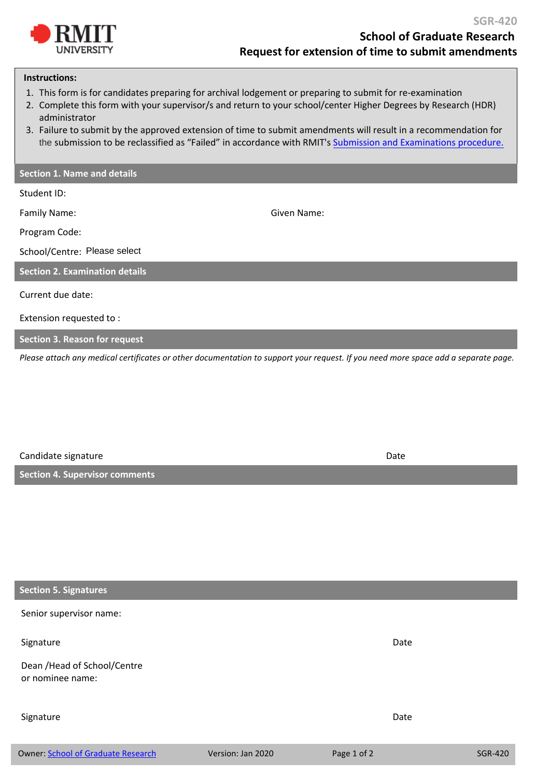

## **Instructions:**

- 1. This form is for candidates preparing for archival lodgement or preparing to submit for re-examination
- 2. Complete this form with your supervisor/s and return to your school/center Higher Degrees by Research (HDR) administrator
- 3. Failure to submit by the approved extension of time to submit amendments will result in a recommendation for the submission to be reclassified as "Failed" in accordance with RMIT's [Submission and Examinations procedure.](https://www.rmit.edu.au/about/governance-and-management/policies/hdr/submission-examination-procedure)

## **Section 1. Name and details**

Student ID:

Family Name: Given Name:

Program Code:

School/Centre: Please select

**Section 2. Examination details** 

Current due date:

Extension requested to :

**Section 3. Reason for request** 

*Please attach any medical certificates or other documentation to support your request. If you need more space add a separate page.*

| Candidate signature                   | Date |
|---------------------------------------|------|
| <b>Section 4. Supervisor comments</b> |      |

## **Section 5. Signatures**

Senior supervisor name:

Owner: [School of Graduate Research](mailto:sgr@rmit.edu.au) Version: Jan 2020 Page 1 of 2 SGR-420 Signature Date Date Communications and the Communications of the Communications of the Date Dean /Head of School/Centre or nominee name: Signature Date Date Communications and the Communications of the Communications of the Date Date